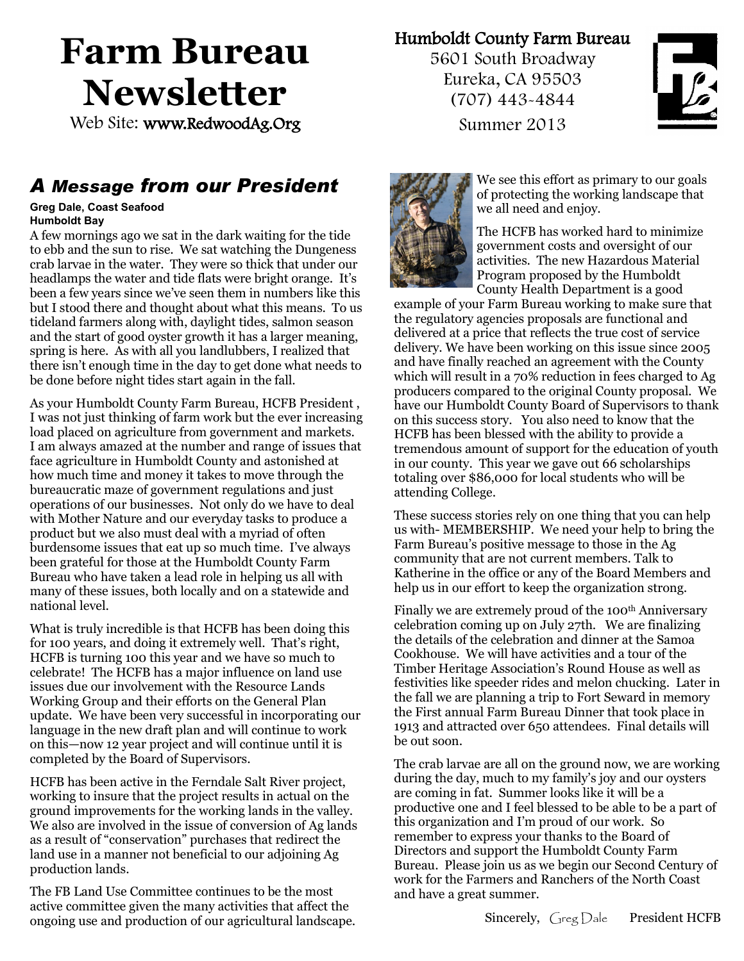# **Farm Bureau Newsletter**

Web Site: www.RedwoodAg.Org

# *A Message from our President*

### **Greg Dale, Coast Seafood Humboldt Bay**

A few mornings ago we sat in the dark waiting for the tide to ebb and the sun to rise. We sat watching the Dungeness crab larvae in the water. They were so thick that under our headlamps the water and tide flats were bright orange. It's been a few years since we've seen them in numbers like this but I stood there and thought about what this means. To us tideland farmers along with, daylight tides, salmon season and the start of good oyster growth it has a larger meaning, spring is here. As with all you landlubbers, I realized that there isn't enough time in the day to get done what needs to be done before night tides start again in the fall.

As your Humboldt County Farm Bureau, HCFB President , I was not just thinking of farm work but the ever increasing load placed on agriculture from government and markets. I am always amazed at the number and range of issues that face agriculture in Humboldt County and astonished at how much time and money it takes to move through the bureaucratic maze of government regulations and just operations of our businesses. Not only do we have to deal with Mother Nature and our everyday tasks to produce a product but we also must deal with a myriad of often burdensome issues that eat up so much time. I've always been grateful for those at the Humboldt County Farm Bureau who have taken a lead role in helping us all with many of these issues, both locally and on a statewide and national level.

What is truly incredible is that HCFB has been doing this for 100 years, and doing it extremely well. That's right, HCFB is turning 100 this year and we have so much to celebrate! The HCFB has a major influence on land use issues due our involvement with the Resource Lands Working Group and their efforts on the General Plan update. We have been very successful in incorporating our language in the new draft plan and will continue to work on this—now 12 year project and will continue until it is completed by the Board of Supervisors.

HCFB has been active in the Ferndale Salt River project, working to insure that the project results in actual on the ground improvements for the working lands in the valley. We also are involved in the issue of conversion of Ag lands as a result of "conservation" purchases that redirect the land use in a manner not beneficial to our adjoining Ag production lands.

The FB Land Use Committee continues to be the most active committee given the many activities that affect the ongoing use and production of our agricultural landscape.

### Humboldt County Farm Bureau

5601 South Broadway Eureka, CA 95503 (707) 443-4844 Summer 2013





We see this effort as primary to our goals of protecting the working landscape that we all need and enjoy.

The HCFB has worked hard to minimize government costs and oversight of our activities. The new Hazardous Material Program proposed by the Humboldt County Health Department is a good

example of your Farm Bureau working to make sure that the regulatory agencies proposals are functional and delivered at a price that reflects the true cost of service delivery. We have been working on this issue since 2005 and have finally reached an agreement with the County which will result in a 70% reduction in fees charged to Ag producers compared to the original County proposal. We have our Humboldt County Board of Supervisors to thank on this success story. You also need to know that the HCFB has been blessed with the ability to provide a tremendous amount of support for the education of youth in our county. This year we gave out 66 scholarships totaling over \$86,000 for local students who will be attending College.

These success stories rely on one thing that you can help us with- MEMBERSHIP. We need your help to bring the Farm Bureau's positive message to those in the Ag community that are not current members. Talk to Katherine in the office or any of the Board Members and help us in our effort to keep the organization strong.

Finally we are extremely proud of the 100<sup>th</sup> Anniversary celebration coming up on July 27th. We are finalizing the details of the celebration and dinner at the Samoa Cookhouse. We will have activities and a tour of the Timber Heritage Association's Round House as well as festivities like speeder rides and melon chucking. Later in the fall we are planning a trip to Fort Seward in memory the First annual Farm Bureau Dinner that took place in 1913 and attracted over 650 attendees. Final details will be out soon.

The crab larvae are all on the ground now, we are working during the day, much to my family's joy and our oysters are coming in fat. Summer looks like it will be a productive one and I feel blessed to be able to be a part of this organization and I'm proud of our work. So remember to express your thanks to the Board of Directors and support the Humboldt County Farm Bureau. Please join us as we begin our Second Century of work for the Farmers and Ranchers of the North Coast and have a great summer.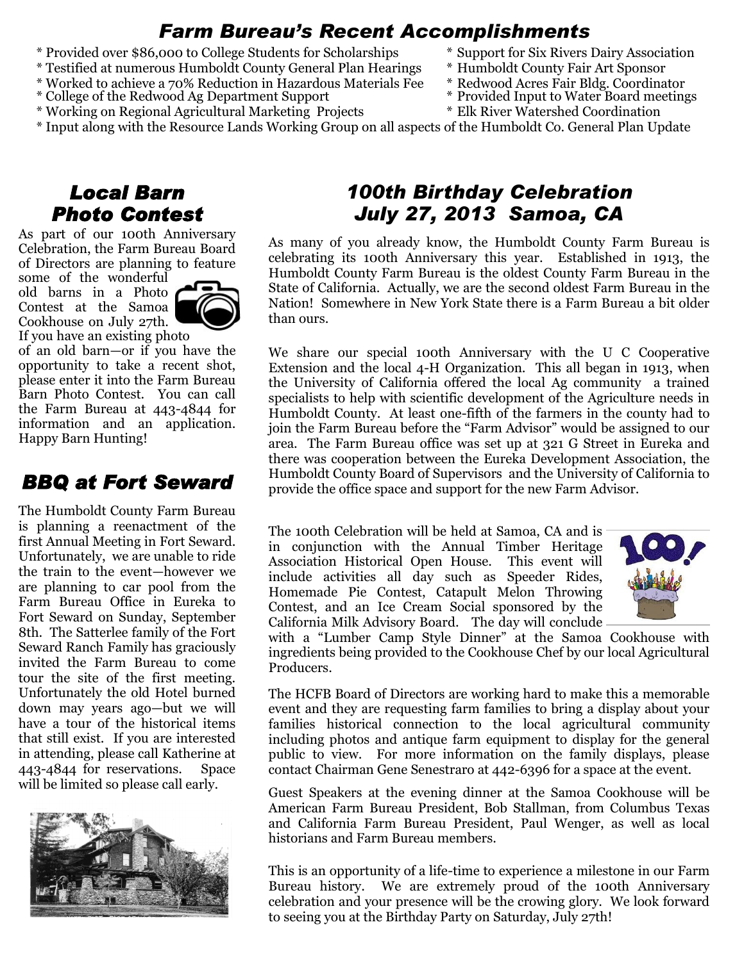# *Farm Bureau's Recent Accomplishments*

- \* Provided over \$86,000 to College Students for Scholarships \* Support for Six Rivers Dairy Association
- \* Testified at numerous Humboldt County General Plan Hearings \* Humboldt County Fair Art Sponsor<br>\* Worked to achieve a 70% Reduction in Hazardous Materials Fee \* Redwood Acres Fair Bldg. Coordinator
- \* Worked to achieve a 70% Reduction in Hazardous Materials Fee \* Redwood Acres Fair Bldg. Coordinator
- \* College of the Redwood Ag Department Support
- \* Working on Regional Agricultural Marketing Projects \* Elk River Watershed Coordination
- 
- 
- 
- -

\* Input along with the Resource Lands Working Group on all aspects of the Humboldt Co. General Plan Update

# *Local Barn Photo Contest*

As part of our 100th Anniversary Celebration, the Farm Bureau Board of Directors are planning to feature

some of the wonderful old barns in a Photo Contest at the Samoa Cookhouse on July 27th. If you have an existing photo



of an old barn—or if you have the opportunity to take a recent shot, please enter it into the Farm Bureau Barn Photo Contest. You can call the Farm Bureau at 443-4844 for information and an application. Happy Barn Hunting!

# *BBQ at Fort Seward*

The Humboldt County Farm Bureau is planning a reenactment of the first Annual Meeting in Fort Seward. Unfortunately, we are unable to ride the train to the event—however we are planning to car pool from the Farm Bureau Office in Eureka to Fort Seward on Sunday, September 8th. The Satterlee family of the Fort Seward Ranch Family has graciously invited the Farm Bureau to come tour the site of the first meeting. Unfortunately the old Hotel burned down may years ago—but we will have a tour of the historical items that still exist. If you are interested in attending, please call Katherine at 443-4844 for reservations. Space will be limited so please call early.



# *100th Birthday Celebration July 27, 2013 Samoa, CA*

As many of you already know, the Humboldt County Farm Bureau is celebrating its 100th Anniversary this year. Established in 1913, the Humboldt County Farm Bureau is the oldest County Farm Bureau in the State of California. Actually, we are the second oldest Farm Bureau in the Nation! Somewhere in New York State there is a Farm Bureau a bit older than ours.

We share our special 100th Anniversary with the U C Cooperative Extension and the local 4-H Organization. This all began in 1913, when the University of California offered the local Ag community a trained specialists to help with scientific development of the Agriculture needs in Humboldt County. At least one-fifth of the farmers in the county had to join the Farm Bureau before the "Farm Advisor" would be assigned to our area. The Farm Bureau office was set up at 321 G Street in Eureka and there was cooperation between the Eureka Development Association, the Humboldt County Board of Supervisors and the University of California to provide the office space and support for the new Farm Advisor.

The 100th Celebration will be held at Samoa, CA and is in conjunction with the Annual Timber Heritage Association Historical Open House. This event will include activities all day such as Speeder Rides, Homemade Pie Contest, Catapult Melon Throwing Contest, and an Ice Cream Social sponsored by the California Milk Advisory Board. The day will conclude



with a "Lumber Camp Style Dinner" at the Samoa Cookhouse with ingredients being provided to the Cookhouse Chef by our local Agricultural Producers.

The HCFB Board of Directors are working hard to make this a memorable event and they are requesting farm families to bring a display about your families historical connection to the local agricultural community including photos and antique farm equipment to display for the general public to view. For more information on the family displays, please contact Chairman Gene Senestraro at 442-6396 for a space at the event.

Guest Speakers at the evening dinner at the Samoa Cookhouse will be American Farm Bureau President, Bob Stallman, from Columbus Texas and California Farm Bureau President, Paul Wenger, as well as local historians and Farm Bureau members.

This is an opportunity of a life-time to experience a milestone in our Farm Bureau history. We are extremely proud of the 100th Anniversary celebration and your presence will be the crowing glory. We look forward to seeing you at the Birthday Party on Saturday, July 27th!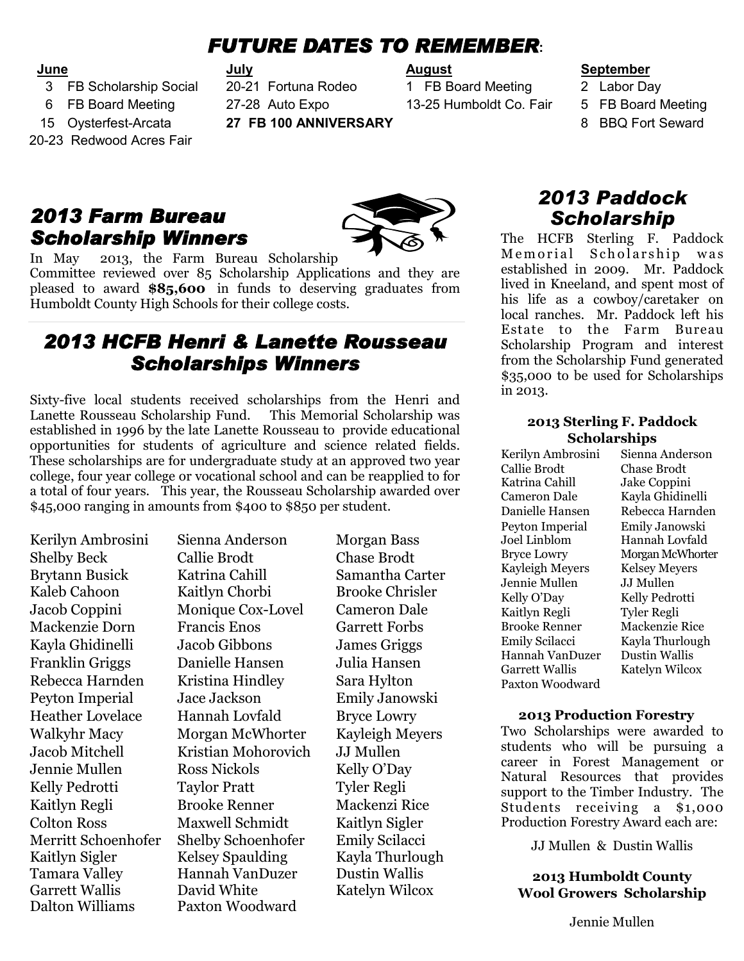# *FUTURE DATES TO REMEMBER***:**

- 3 FB Scholarship Social 20-21 Fortuna Rodeo 1 FB Board Meeting 2 Labor Day
- 
- 15 Oysterfest-Arcata **27 FB 100 ANNIVERSARY** 8 BBQ Fort Seward

20-23 Redwood Acres Fair

# *2013 Farm Bureau Scholarship Winners*



In May 2013, the Farm Bureau Scholarship

Committee reviewed over 85 Scholarship Applications and they are pleased to award **\$85,600** in funds to deserving graduates from Humboldt County High Schools for their college costs.

# *2013 HCFB Henri & Lanette Rousseau Scholarships Winners*

Sixty-five local students received scholarships from the Henri and Lanette Rousseau Scholarship Fund. This Memorial Scholarship was established in 1996 by the late Lanette Rousseau to provide educational opportunities for students of agriculture and science related fields. These scholarships are for undergraduate study at an approved two year college, four year college or vocational school and can be reapplied to for a total of four years. This year, the Rousseau Scholarship awarded over \$45,000 ranging in amounts from \$400 to \$850 per student.

Dalton Williams Paxton Woodward

Kerilyn Ambrosini Sienna Anderson Morgan Bass Shelby Beck Callie Brodt Chase Brodt Brytann Busick Katrina Cahill Samantha Carter Kaleb Cahoon Kaitlyn Chorbi Brooke Chrisler Jacob Coppini Monique Cox-Lovel Cameron Dale Mackenzie Dorn Francis Enos Garrett Forbs Kayla Ghidinelli Jacob Gibbons James Griggs Franklin Griggs Danielle Hansen Julia Hansen Rebecca Harnden Kristina Hindley Sara Hylton Peyton Imperial Jace Jackson Emily Janowski Heather Lovelace Hannah Lovfald Bryce Lowry Walkyhr Macy Morgan McWhorter Kayleigh Meyers Jacob Mitchell Kristian Mohorovich JJ Mullen Jennie Mullen Ross Nickols Kelly O'Day Kelly Pedrotti Taylor Pratt Tyler Regli Kaitlyn Regli Brooke Renner Mackenzi Rice Colton Ross Maxwell Schmidt Kaitlyn Sigler Merritt Schoenhofer Shelby Schoenhofer Emily Scilacci Kaitlyn Sigler Kelsey Spaulding Kayla Thurlough Tamara Valley Hannah VanDuzer Dustin Wallis David White Katelyn Wilcox

6 FB Board Meeting 27-28 Auto Expo 13-25 Humboldt Co. Fair 5 FB Board Meeting

### **June July August September**

- 
- 
- 

### *2013 Paddock Scholarship*

The HCFB Sterling F. Paddock Memorial Scholarship was established in 2009. Mr. Paddock lived in Kneeland, and spent most of his life as a cowboy/caretaker on local ranches. Mr. Paddock left his Estate to the Farm Bureau Scholarship Program and interest from the Scholarship Fund generated \$35,000 to be used for Scholarships in 2013.

### **2013 Sterling F. Paddock Scholarships**

Kerilyn Ambrosini Sienna Anderson Callie Brodt Chase Brodt Katrina Cahill Jake Coppini Cameron Dale Kayla Ghidinelli Danielle Hansen Rebecca Harnden Peyton Imperial Emily Janowski Bryce Lowry Morgan McWhorter Kayleigh Meyers Kelsey Meyers Jennie Mullen JJ Mullen Kelly O'Day Kelly Pedrotti Kaitlyn Regli Tyler Regli Brooke Renner Mackenzie Rice Emily Scilacci Kayla Thurlough<br>Hannah VanDuzer Dustin Wallis Hannah VanDuzer Garrett Wallis Katelyn Wilcox Paxton Woodward

Hannah Lovfald

### **2013 Production Forestry**

Two Scholarships were awarded to students who will be pursuing a career in Forest Management or Natural Resources that provides support to the Timber Industry. The Students receiving a \$1,000 Production Forestry Award each are:

JJ Mullen & Dustin Wallis

### **2013 Humboldt County Wool Growers Scholarship**

Jennie Mullen